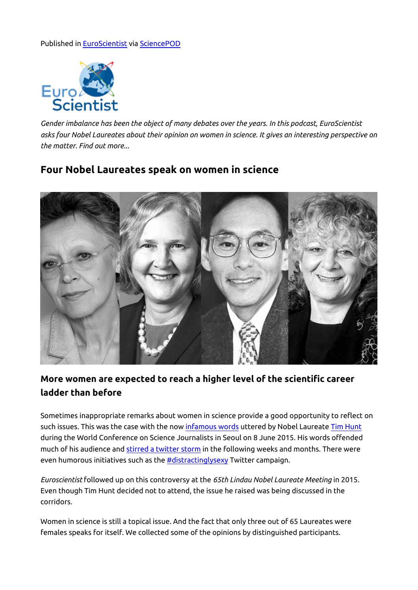## Published in [EuroScientist](http://www.euroscientist.com/four-nobel-laureates-speak-on-women-in-science) via [SciencePOD](http://www.sciencepod.net)



*Gender imbalance has been the object of many debates over the years. In this podcast, EuroScientist asks four Nobel Laureates about their opinion on women in science. It gives an interesting perspective on the matter. Find out more...*

## **Four Nobel Laureates speak on women in science**



## **More women are expected to reach a higher level of the scientific career ladder than before**

Sometimes inappropriate remarks about women in science provide a good opportunity to reflect on such issues. This was the case with the now [infamous words](http://www.euroscientist.com/thoughtful-debate-is-losing-ground-over-appearance/) uttered by Nobel Laureate [Tim Hunt](http://www.euroscientist.com/be-ready-for-the-glass-house-treatment-tim-hunts-lessons/) during the World Conference on Science Journalists in Seoul on 8 June 2015. His words offended much of his audience and [stirred a twitter storm](https://medium.com/@danwaddell/saving-tim-hunt-97db23c6ee93#.wc7mq15jw) in the following weeks and months. There were even humorous initiatives such as the [#distractinglysexy](http://www.theguardian.com/higher-education-network/2015/jun/11/distractinglysexy-twitter-campaign-mocks-tim-hunts-sexist-comments) Twitter campaign.

*Euroscientist* followed up on this controversy at the *[65th Lindau Nobel Laureate Meeting](http://www.mediatheque.lindau-nobel.org/meetings/2015)* in 2015. Even though Tim Hunt decided not to attend, the issue he raised was being discussed in the corridors.

Women in science is still a topical issue. And the fact that only three out of 65 Laureates were females speaks for itself. We collected some of the opinions by distinguished participants.